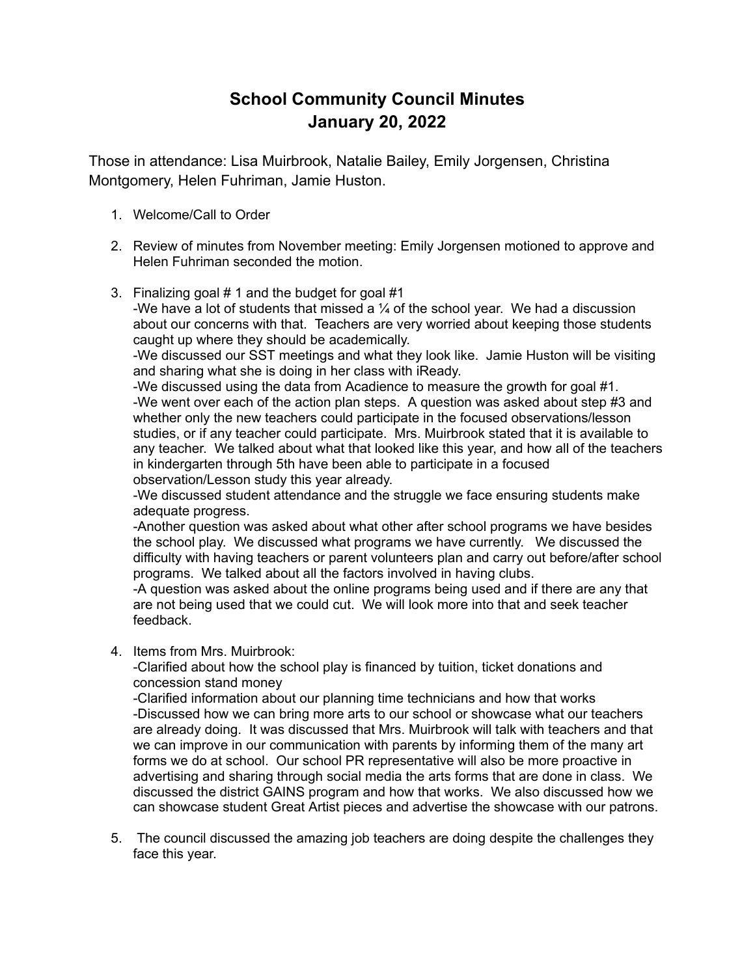## **School Community Council Minutes January 20, 2022**

Those in attendance: Lisa Muirbrook, Natalie Bailey, Emily Jorgensen, Christina Montgomery, Helen Fuhriman, Jamie Huston.

- 1. Welcome/Call to Order
- 2. Review of minutes from November meeting: Emily Jorgensen motioned to approve and Helen Fuhriman seconded the motion.
- 3. Finalizing goal  $# 1$  and the budget for goal  $#1$

-We have a lot of students that missed a  $\frac{1}{4}$  of the school year. We had a discussion about our concerns with that. Teachers are very worried about keeping those students caught up where they should be academically.

-We discussed our SST meetings and what they look like. Jamie Huston will be visiting and sharing what she is doing in her class with iReady.

-We discussed using the data from Acadience to measure the growth for goal #1. -We went over each of the action plan steps. A question was asked about step #3 and whether only the new teachers could participate in the focused observations/lesson studies, or if any teacher could participate. Mrs. Muirbrook stated that it is available to any teacher. We talked about what that looked like this year, and how all of the teachers in kindergarten through 5th have been able to participate in a focused observation/Lesson study this year already.

-We discussed student attendance and the struggle we face ensuring students make adequate progress.

-Another question was asked about what other after school programs we have besides the school play. We discussed what programs we have currently. We discussed the difficulty with having teachers or parent volunteers plan and carry out before/after school programs. We talked about all the factors involved in having clubs.

-A question was asked about the online programs being used and if there are any that are not being used that we could cut. We will look more into that and seek teacher feedback.

4. Items from Mrs. Muirbrook:

-Clarified about how the school play is financed by tuition, ticket donations and concession stand money

-Clarified information about our planning time technicians and how that works -Discussed how we can bring more arts to our school or showcase what our teachers are already doing. It was discussed that Mrs. Muirbrook will talk with teachers and that we can improve in our communication with parents by informing them of the many art forms we do at school. Our school PR representative will also be more proactive in advertising and sharing through social media the arts forms that are done in class. We discussed the district GAINS program and how that works. We also discussed how we can showcase student Great Artist pieces and advertise the showcase with our patrons.

5. The council discussed the amazing job teachers are doing despite the challenges they face this year.